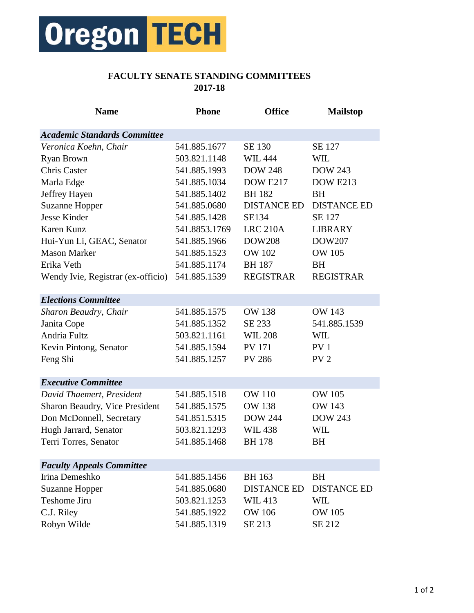

## **FACULTY SENATE STANDING COMMITTEES 2017-18**

| <b>Name</b>                         | <b>Phone</b>  | <b>Office</b>      | <b>Mailstop</b>    |
|-------------------------------------|---------------|--------------------|--------------------|
| <b>Academic Standards Committee</b> |               |                    |                    |
| Veronica Koehn, Chair               | 541.885.1677  | SE 130             | SE 127             |
| Ryan Brown                          | 503.821.1148  | <b>WIL 444</b>     | WIL                |
| <b>Chris Caster</b>                 | 541.885.1993  | <b>DOW 248</b>     | <b>DOW 243</b>     |
| Marla Edge                          | 541.885.1034  | <b>DOW E217</b>    | <b>DOW E213</b>    |
| Jeffrey Hayen                       | 541.885.1402  | <b>BH</b> 182      | <b>BH</b>          |
| <b>Suzanne Hopper</b>               | 541.885.0680  | <b>DISTANCE ED</b> | <b>DISTANCE ED</b> |
| <b>Jesse Kinder</b>                 | 541.885.1428  | <b>SE134</b>       | SE 127             |
| Karen Kunz                          | 541.8853.1769 | <b>LRC 210A</b>    | <b>LIBRARY</b>     |
| Hui-Yun Li, GEAC, Senator           | 541.885.1966  | <b>DOW208</b>      | DOW207             |
| <b>Mason Marker</b>                 | 541.885.1523  | <b>OW 102</b>      | <b>OW 105</b>      |
| Erika Veth                          | 541.885.1174  | <b>BH</b> 187      | <b>BH</b>          |
| Wendy Ivie, Registrar (ex-officio)  | 541.885.1539  | <b>REGISTRAR</b>   | <b>REGISTRAR</b>   |
| <b>Elections Committee</b>          |               |                    |                    |
| Sharon Beaudry, Chair               | 541.885.1575  | <b>OW 138</b>      | <b>OW 143</b>      |
| Janita Cope                         | 541.885.1352  | SE 233             | 541.885.1539       |
| Andria Fultz                        | 503.821.1161  | <b>WIL 208</b>     | WIL                |
| Kevin Pintong, Senator              | 541.885.1594  | <b>PV 171</b>      | PV <sub>1</sub>    |
| Feng Shi                            | 541.885.1257  | <b>PV 286</b>      | PV <sub>2</sub>    |
| <b>Executive Committee</b>          |               |                    |                    |
| David Thaemert, President           | 541.885.1518  | <b>OW 110</b>      | <b>OW 105</b>      |
| Sharon Beaudry, Vice President      | 541.885.1575  | <b>OW 138</b>      | <b>OW 143</b>      |
| Don McDonnell, Secretary            | 541.851.5315  | <b>DOW 244</b>     | <b>DOW 243</b>     |
| Hugh Jarrard, Senator               | 503.821.1293  | <b>WIL438</b>      | WIL                |
| Terri Torres, Senator               | 541.885.1468  | <b>BH</b> 178      | <b>BH</b>          |
| <b>Faculty Appeals Committee</b>    |               |                    |                    |
| Irina Demeshko                      | 541.885.1456  | <b>BH</b> 163      | <b>BH</b>          |
| <b>Suzanne Hopper</b>               | 541.885.0680  | <b>DISTANCE ED</b> | <b>DISTANCE ED</b> |
| Teshome Jiru                        | 503.821.1253  | <b>WIL413</b>      | WIL                |
| C.J. Riley                          | 541.885.1922  | <b>OW 106</b>      | <b>OW 105</b>      |
| Robyn Wilde                         | 541.885.1319  | SE 213             | SE 212             |